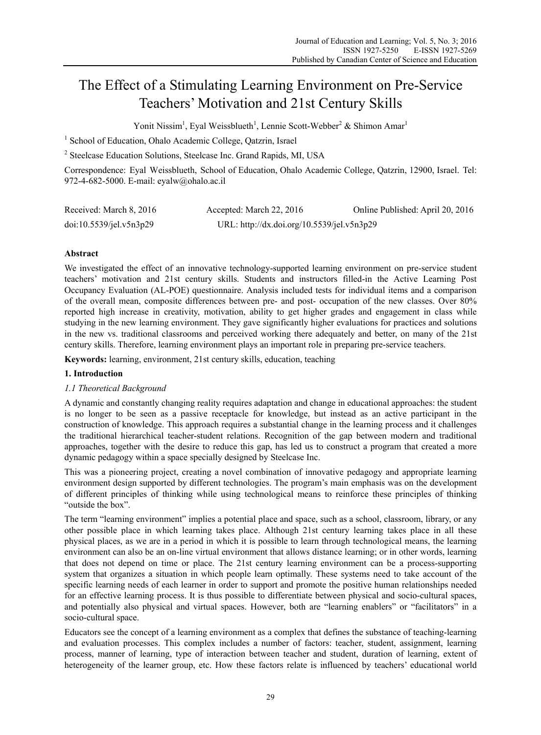# The Effect of a Stimulating Learning Environment on Pre-Service Teachers' Motivation and 21st Century Skills

Yonit Nissim<sup>1</sup>, Eyal Weissblueth<sup>1</sup>, Lennie Scott-Webber<sup>2</sup> & Shimon Amar<sup>1</sup>

<sup>1</sup> School of Education, Ohalo Academic College, Qatzrin, Israel

<sup>2</sup> Steelcase Education Solutions, Steelcase Inc. Grand Rapids, MI, USA

Correspondence: Eyal Weissblueth, School of Education, Ohalo Academic College, Qatzrin, 12900, Israel. Tel: 972-4-682-5000. E-mail: eyalw@ohalo.ac.il

| Received: March 8, 2016 | Accepted: March 22, 2016                   | Online Published: April 20, 2016 |
|-------------------------|--------------------------------------------|----------------------------------|
| doi:10.5539/jeLv5n3p29  | URL: http://dx.doi.org/10.5539/jel.v5n3p29 |                                  |

# **Abstract**

We investigated the effect of an innovative technology-supported learning environment on pre-service student teachers' motivation and 21st century skills. Students and instructors filled-in the Active Learning Post Occupancy Evaluation (AL-POE) questionnaire. Analysis included tests for individual items and a comparison of the overall mean, composite differences between pre- and post- occupation of the new classes. Over 80% reported high increase in creativity, motivation, ability to get higher grades and engagement in class while studying in the new learning environment. They gave significantly higher evaluations for practices and solutions in the new vs. traditional classrooms and perceived working there adequately and better, on many of the 21st century skills. Therefore, learning environment plays an important role in preparing pre-service teachers.

**Keywords:** learning, environment, 21st century skills, education, teaching

# **1. Introduction**

## *1.1 Theoretical Background*

A dynamic and constantly changing reality requires adaptation and change in educational approaches: the student is no longer to be seen as a passive receptacle for knowledge, but instead as an active participant in the construction of knowledge. This approach requires a substantial change in the learning process and it challenges the traditional hierarchical teacher-student relations. Recognition of the gap between modern and traditional approaches, together with the desire to reduce this gap, has led us to construct a program that created a more dynamic pedagogy within a space specially designed by Steelcase Inc.

This was a pioneering project, creating a novel combination of innovative pedagogy and appropriate learning environment design supported by different technologies. The program's main emphasis was on the development of different principles of thinking while using technological means to reinforce these principles of thinking "outside the box".

The term "learning environment" implies a potential place and space, such as a school, classroom, library, or any other possible place in which learning takes place. Although 21st century learning takes place in all these physical places, as we are in a period in which it is possible to learn through technological means, the learning environment can also be an on-line virtual environment that allows distance learning; or in other words, learning that does not depend on time or place. The 21st century learning environment can be a process-supporting system that organizes a situation in which people learn optimally. These systems need to take account of the specific learning needs of each learner in order to support and promote the positive human relationships needed for an effective learning process. It is thus possible to differentiate between physical and socio-cultural spaces, and potentially also physical and virtual spaces. However, both are "learning enablers" or "facilitators" in a socio-cultural space.

Educators see the concept of a learning environment as a complex that defines the substance of teaching-learning and evaluation processes. This complex includes a number of factors: teacher, student, assignment, learning process, manner of learning, type of interaction between teacher and student, duration of learning, extent of heterogeneity of the learner group, etc. How these factors relate is influenced by teachers' educational world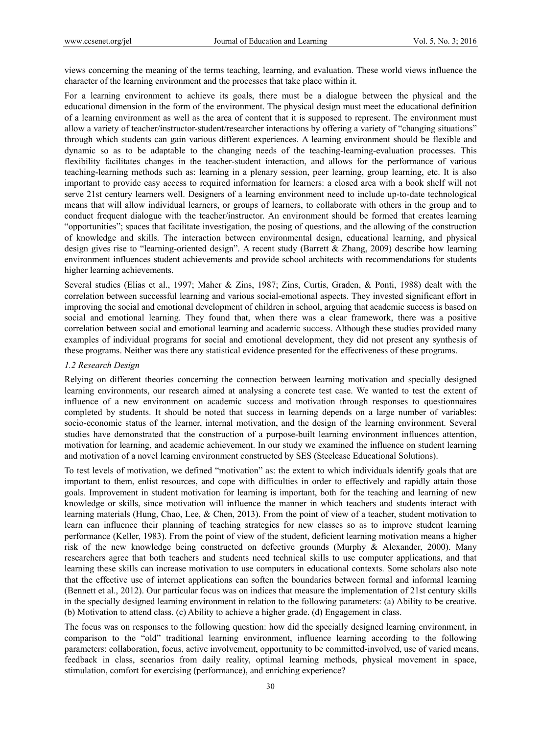views concerning the meaning of the terms teaching, learning, and evaluation. These world views influence the character of the learning environment and the processes that take place within it.

For a learning environment to achieve its goals, there must be a dialogue between the physical and the educational dimension in the form of the environment. The physical design must meet the educational definition of a learning environment as well as the area of content that it is supposed to represent. The environment must allow a variety of teacher/instructor-student/researcher interactions by offering a variety of "changing situations" through which students can gain various different experiences. A learning environment should be flexible and dynamic so as to be adaptable to the changing needs of the teaching-learning-evaluation processes. This flexibility facilitates changes in the teacher-student interaction, and allows for the performance of various teaching-learning methods such as: learning in a plenary session, peer learning, group learning, etc. It is also important to provide easy access to required information for learners: a closed area with a book shelf will not serve 21st century learners well. Designers of a learning environment need to include up-to-date technological means that will allow individual learners, or groups of learners, to collaborate with others in the group and to conduct frequent dialogue with the teacher/instructor. An environment should be formed that creates learning "opportunities"; spaces that facilitate investigation, the posing of questions, and the allowing of the construction of knowledge and skills. The interaction between environmental design, educational learning, and physical design gives rise to "learning-oriented design". A recent study (Barrett & Zhang, 2009) describe how learning environment influences student achievements and provide school architects with recommendations for students higher learning achievements.

Several studies (Elias et al., 1997; Maher & Zins, 1987; Zins, Curtis, Graden, & Ponti, 1988) dealt with the correlation between successful learning and various social-emotional aspects. They invested significant effort in improving the social and emotional development of children in school, arguing that academic success is based on social and emotional learning. They found that, when there was a clear framework, there was a positive correlation between social and emotional learning and academic success. Although these studies provided many examples of individual programs for social and emotional development, they did not present any synthesis of these programs. Neither was there any statistical evidence presented for the effectiveness of these programs.

#### *1.2 Research Design*

Relying on different theories concerning the connection between learning motivation and specially designed learning environments, our research aimed at analysing a concrete test case. We wanted to test the extent of influence of a new environment on academic success and motivation through responses to questionnaires completed by students. It should be noted that success in learning depends on a large number of variables: socio-economic status of the learner, internal motivation, and the design of the learning environment. Several studies have demonstrated that the construction of a purpose-built learning environment influences attention, motivation for learning, and academic achievement. In our study we examined the influence on student learning and motivation of a novel learning environment constructed by SES (Steelcase Educational Solutions).

To test levels of motivation, we defined "motivation" as: the extent to which individuals identify goals that are important to them, enlist resources, and cope with difficulties in order to effectively and rapidly attain those goals. Improvement in student motivation for learning is important, both for the teaching and learning of new knowledge or skills, since motivation will influence the manner in which teachers and students interact with learning materials (Hung, Chao, Lee, & Chen, 2013). From the point of view of a teacher, student motivation to learn can influence their planning of teaching strategies for new classes so as to improve student learning performance (Keller, 1983). From the point of view of the student, deficient learning motivation means a higher risk of the new knowledge being constructed on defective grounds (Murphy & Alexander, 2000). Many researchers agree that both teachers and students need technical skills to use computer applications, and that learning these skills can increase motivation to use computers in educational contexts. Some scholars also note that the effective use of internet applications can soften the boundaries between formal and informal learning (Bennett et al., 2012). Our particular focus was on indices that measure the implementation of 21st century skills in the specially designed learning environment in relation to the following parameters: (a) Ability to be creative. (b) Motivation to attend class. (c) Ability to achieve a higher grade. (d) Engagement in class.

The focus was on responses to the following question: how did the specially designed learning environment, in comparison to the "old" traditional learning environment, influence learning according to the following parameters: collaboration, focus, active involvement, opportunity to be committed-involved, use of varied means, feedback in class, scenarios from daily reality, optimal learning methods, physical movement in space, stimulation, comfort for exercising (performance), and enriching experience?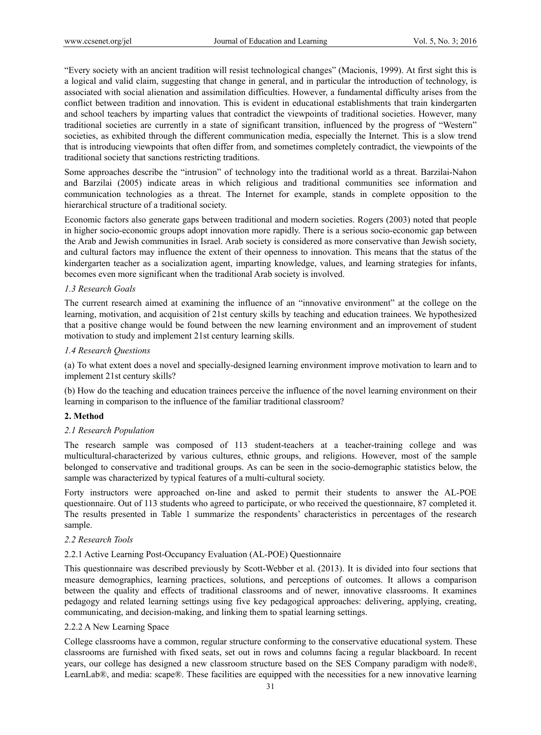"Every society with an ancient tradition will resist technological changes" (Macionis, 1999). At first sight this is a logical and valid claim, suggesting that change in general, and in particular the introduction of technology, is associated with social alienation and assimilation difficulties. However, a fundamental difficulty arises from the conflict between tradition and innovation. This is evident in educational establishments that train kindergarten and school teachers by imparting values that contradict the viewpoints of traditional societies. However, many traditional societies are currently in a state of significant transition, influenced by the progress of "Western" societies, as exhibited through the different communication media, especially the Internet. This is a slow trend that is introducing viewpoints that often differ from, and sometimes completely contradict, the viewpoints of the traditional society that sanctions restricting traditions.

Some approaches describe the "intrusion" of technology into the traditional world as a threat. Barzilai-Nahon and Barzilai (2005) indicate areas in which religious and traditional communities see information and communication technologies as a threat. The Internet for example, stands in complete opposition to the hierarchical structure of a traditional society.

Economic factors also generate gaps between traditional and modern societies. Rogers (2003) noted that people in higher socio-economic groups adopt innovation more rapidly. There is a serious socio-economic gap between the Arab and Jewish communities in Israel. Arab society is considered as more conservative than Jewish society, and cultural factors may influence the extent of their openness to innovation. This means that the status of the kindergarten teacher as a socialization agent, imparting knowledge, values, and learning strategies for infants, becomes even more significant when the traditional Arab society is involved.

## *1.3 Research Goals*

The current research aimed at examining the influence of an "innovative environment" at the college on the learning, motivation, and acquisition of 21st century skills by teaching and education trainees. We hypothesized that a positive change would be found between the new learning environment and an improvement of student motivation to study and implement 21st century learning skills.

#### *1.4 Research Questions*

(a) To what extent does a novel and specially-designed learning environment improve motivation to learn and to implement 21st century skills?

(b) How do the teaching and education trainees perceive the influence of the novel learning environment on their learning in comparison to the influence of the familiar traditional classroom?

## **2. Method**

## *2.1 Research Population*

The research sample was composed of 113 student-teachers at a teacher-training college and was multicultural-characterized by various cultures, ethnic groups, and religions. However, most of the sample belonged to conservative and traditional groups. As can be seen in the socio-demographic statistics below, the sample was characterized by typical features of a multi-cultural society.

Forty instructors were approached on-line and asked to permit their students to answer the AL-POE questionnaire. Out of 113 students who agreed to participate, or who received the questionnaire, 87 completed it. The results presented in Table 1 summarize the respondents' characteristics in percentages of the research sample.

#### *2.2 Research Tools*

#### 2.2.1 Active Learning Post-Occupancy Evaluation (AL-POE) Questionnaire

This questionnaire was described previously by Scott-Webber et al. (2013). It is divided into four sections that measure demographics, learning practices, solutions, and perceptions of outcomes. It allows a comparison between the quality and effects of traditional classrooms and of newer, innovative classrooms. It examines pedagogy and related learning settings using five key pedagogical approaches: delivering, applying, creating, communicating, and decision-making, and linking them to spatial learning settings.

#### 2.2.2 A New Learning Space

College classrooms have a common, regular structure conforming to the conservative educational system. These classrooms are furnished with fixed seats, set out in rows and columns facing a regular blackboard. In recent years, our college has designed a new classroom structure based on the SES Company paradigm with node®, LearnLab®, and media: scape®. These facilities are equipped with the necessities for a new innovative learning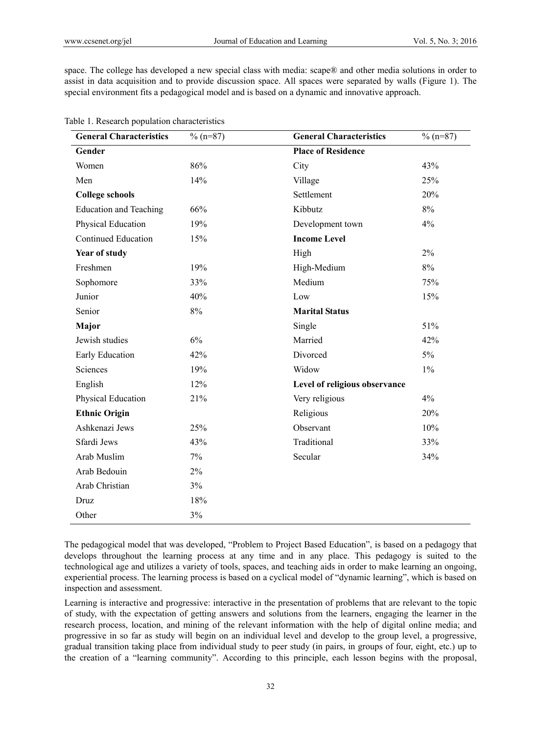space. The college has developed a new special class with media: scape® and other media solutions in order to assist in data acquisition and to provide discussion space. All spaces were separated by walls (Figure 1). The special environment fits a pedagogical model and is based on a dynamic and innovative approach.

| <b>General Characteristics</b> | $\%$ (n=87) | <b>General Characteristics</b> | $\%$ (n=87) |
|--------------------------------|-------------|--------------------------------|-------------|
| Gender                         |             | <b>Place of Residence</b>      |             |
| Women                          | 86%         | City                           | 43%         |
| Men                            | 14%         | Village                        | 25%         |
| <b>College schools</b>         |             | Settlement                     | 20%         |
| <b>Education and Teaching</b>  | 66%         | Kibbutz                        | 8%          |
| Physical Education             | 19%         | Development town               | $4\%$       |
| <b>Continued Education</b>     | 15%         | <b>Income Level</b>            |             |
| Year of study                  |             | High                           | $2\%$       |
| Freshmen                       | 19%         | High-Medium                    | $8\%$       |
| Sophomore                      | 33%         | Medium                         | 75%         |
| Junior                         | 40%         | Low                            | 15%         |
| Senior                         | $8\%$       | <b>Marital Status</b>          |             |
| Major                          |             | Single                         | 51%         |
| Jewish studies                 | 6%          | Married                        | 42%         |
| Early Education                | 42%         | Divorced                       | $5\%$       |
| Sciences                       | 19%         | Widow                          | $1\%$       |
| English                        | 12%         | Level of religious observance  |             |
| Physical Education             | 21%         | Very religious                 | 4%          |
| <b>Ethnic Origin</b>           |             | Religious                      | 20%         |
| Ashkenazi Jews                 | 25%         | Observant                      | 10%         |
| Sfardi Jews                    | 43%         | Traditional                    | 33%         |
| Arab Muslim                    | 7%          | Secular                        | 34%         |
| Arab Bedouin                   | $2\%$       |                                |             |
| Arab Christian                 | 3%          |                                |             |
| Druz                           | 18%         |                                |             |
| Other                          | 3%          |                                |             |

The pedagogical model that was developed, "Problem to Project Based Education", is based on a pedagogy that develops throughout the learning process at any time and in any place. This pedagogy is suited to the technological age and utilizes a variety of tools, spaces, and teaching aids in order to make learning an ongoing, experiential process. The learning process is based on a cyclical model of "dynamic learning", which is based on inspection and assessment.

Learning is interactive and progressive: interactive in the presentation of problems that are relevant to the topic of study, with the expectation of getting answers and solutions from the learners, engaging the learner in the research process, location, and mining of the relevant information with the help of digital online media; and progressive in so far as study will begin on an individual level and develop to the group level, a progressive, gradual transition taking place from individual study to peer study (in pairs, in groups of four, eight, etc.) up to the creation of a "learning community". According to this principle, each lesson begins with the proposal,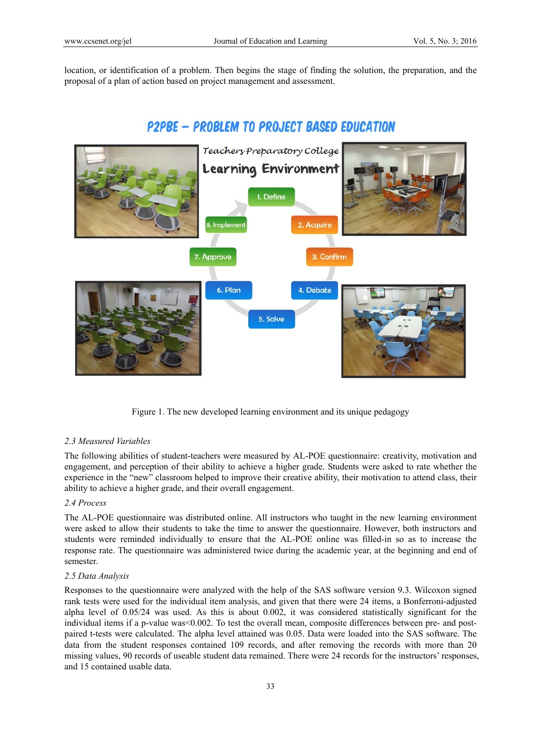location, or identification of a problem. Then begins the stage of finding the solution, the preparation, and the proposal of a plan of action based on project management and assessment.

# P2PBE - PROBLEM TO PROJECT BASED EDUCATION



Figure 1. The new developed learning environment and its unique pedagogy

# *2.3 Measured Variables*

The following abilities of student-teachers were measured by AL-POE questionnaire: creativity, motivation and engagement, and perception of their ability to achieve a higher grade. Students were asked to rate whether the experience in the "new" classroom helped to improve their creative ability, their motivation to attend class, their ability to achieve a higher grade, and their overall engagement.

## *2.4 Process*

The AL-POE questionnaire was distributed online. All instructors who taught in the new learning environment were asked to allow their students to take the time to answer the questionnaire. However, both instructors and students were reminded individually to ensure that the AL-POE online was filled-in so as to increase the response rate. The questionnaire was administered twice during the academic year, at the beginning and end of semester.

# *2.5 Data Analysis*

Responses to the questionnaire were analyzed with the help of the SAS software version 9.3. Wilcoxon signed rank tests were used for the individual item analysis, and given that there were 24 items, a Bonferroni-adjusted alpha level of 0.05/24 was used. As this is about 0.002, it was considered statistically significant for the individual items if a p-value was<0.002. To test the overall mean, composite differences between pre- and postpaired t-tests were calculated. The alpha level attained was 0.05. Data were loaded into the SAS software. The data from the student responses contained 109 records, and after removing the records with more than 20 missing values, 90 records of useable student data remained. There were 24 records for the instructors' responses, and 15 contained usable data.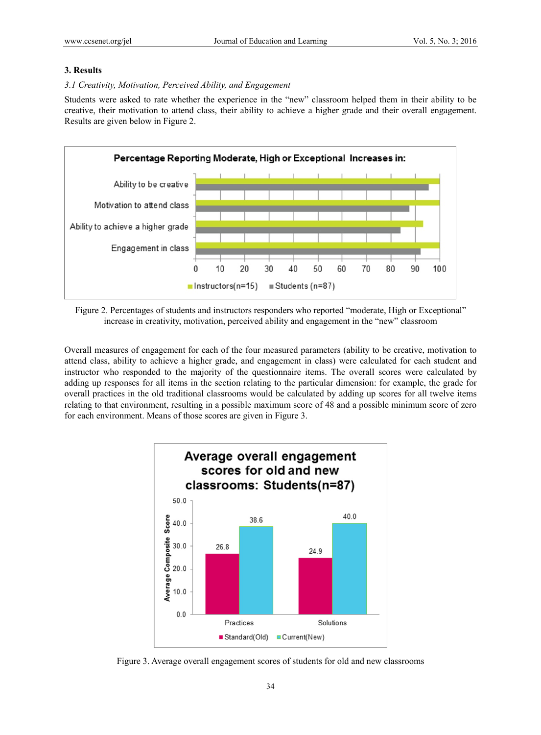## **3. Results**

## *3.1 Creativity, Motivation, Perceived Ability, and Engagement*

Students were asked to rate whether the experience in the "new" classroom helped them in their ability to be creative, their motivation to attend class, their ability to achieve a higher grade and their overall engagement. Results are given below in Figure 2.



Figure 2. Percentages of students and instructors responders who reported "moderate, High or Exceptional" increase in creativity, motivation, perceived ability and engagement in the "new" classroom

Overall measures of engagement for each of the four measured parameters (ability to be creative, motivation to attend class, ability to achieve a higher grade, and engagement in class) were calculated for each student and instructor who responded to the majority of the questionnaire items. The overall scores were calculated by adding up responses for all items in the section relating to the particular dimension: for example, the grade for overall practices in the old traditional classrooms would be calculated by adding up scores for all twelve items relating to that environment, resulting in a possible maximum score of 48 and a possible minimum score of zero for each environment. Means of those scores are given in Figure 3.



Figure 3. Average overall engagement scores of students for old and new classrooms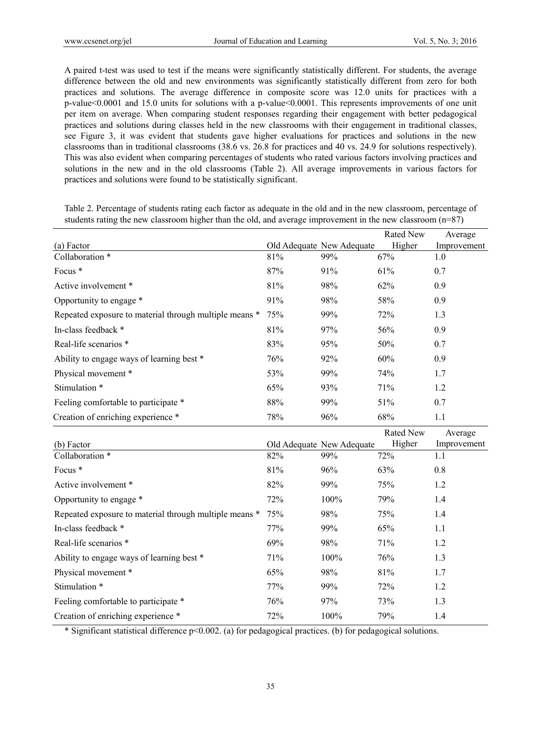A paired t-test was used to test if the means were significantly statistically different. For students, the average difference between the old and new environments was significantly statistically different from zero for both practices and solutions. The average difference in composite score was 12.0 units for practices with a p-value<0.0001 and 15.0 units for solutions with a p-value<0.0001. This represents improvements of one unit per item on average. When comparing student responses regarding their engagement with better pedagogical practices and solutions during classes held in the new classrooms with their engagement in traditional classes, see Figure 3, it was evident that students gave higher evaluations for practices and solutions in the new classrooms than in traditional classrooms (38.6 vs. 26.8 for practices and 40 vs. 24.9 for solutions respectively). This was also evident when comparing percentages of students who rated various factors involving practices and solutions in the new and in the old classrooms (Table 2). All average improvements in various factors for practices and solutions were found to be statistically significant.

|                                                        |     |                           | Rated New | Average     |
|--------------------------------------------------------|-----|---------------------------|-----------|-------------|
| (a) Factor                                             |     | Old Adequate New Adequate | Higher    | Improvement |
| Collaboration *                                        | 81% | 99%                       | 67%       | 1.0         |
| Focus *                                                | 87% | 91%                       | 61%       | 0.7         |
| Active involvement *                                   | 81% | 98%                       | 62%       | 0.9         |
| Opportunity to engage *                                | 91% | 98%                       | 58%       | 0.9         |
| Repeated exposure to material through multiple means * | 75% | 99%                       | 72%       | 1.3         |
| In-class feedback *                                    | 81% | 97%                       | 56%       | 0.9         |
| Real-life scenarios *                                  | 83% | 95%                       | 50%       | 0.7         |
| Ability to engage ways of learning best *              | 76% | 92%                       | 60%       | 0.9         |
| Physical movement *                                    | 53% | 99%                       | 74%       | 1.7         |
| Stimulation *                                          | 65% | 93%                       | 71%       | 1.2         |
| Feeling comfortable to participate *                   | 88% | 99%                       | 51%       | 0.7         |
| Creation of enriching experience *                     | 78% | 96%                       | 68%       | 1.1         |
|                                                        |     |                           |           |             |
|                                                        |     |                           | Rated New | Average     |
| (b) Factor                                             |     | Old Adequate New Adequate | Higher    | Improvement |
| Collaboration *                                        | 82% | 99%                       | 72%       | 1.1         |
| Focus *                                                | 81% | 96%                       | 63%       | 0.8         |
| Active involvement *                                   | 82% | 99%                       | 75%       | 1.2         |
| Opportunity to engage *                                | 72% | 100%                      | 79%       | 1.4         |
| Repeated exposure to material through multiple means * | 75% | 98%                       | 75%       | 1.4         |
| In-class feedback *                                    | 77% | 99%                       | 65%       | 1.1         |
| Real-life scenarios *                                  | 69% | 98%                       | 71%       | 1.2         |
| Ability to engage ways of learning best *              | 71% | 100%                      | 76%       | 1.3         |
| Physical movement *                                    | 65% | 98%                       | 81%       | 1.7         |
| Stimulation *                                          | 77% | 99%                       | 72%       | 1.2         |
| Feeling comfortable to participate *                   | 76% | 97%                       | 73%       | 1.3         |

Table 2. Percentage of students rating each factor as adequate in the old and in the new classroom, percentage of students rating the new classroom higher than the old, and average improvement in the new classroom (n=87)

\* Significant statistical difference p<0.002. (a) for pedagogical practices. (b) for pedagogical solutions.

35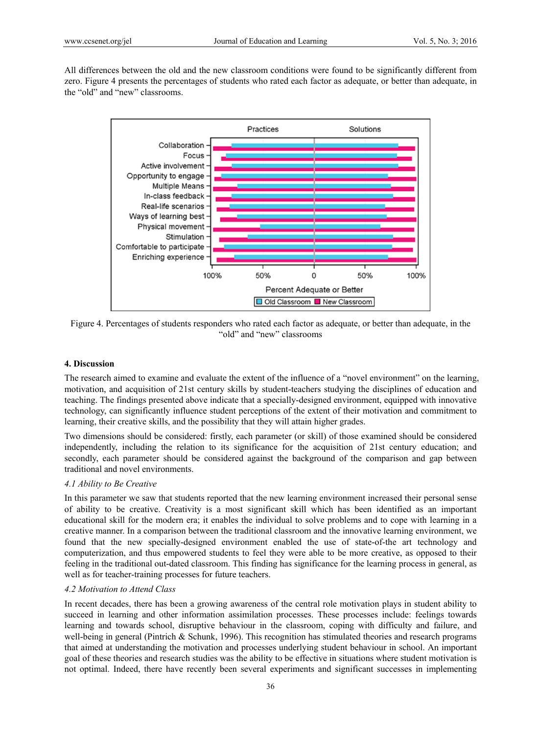All differences between the old and the new classroom conditions were found to be significantly different from zero. Figure 4 presents the percentages of students who rated each factor as adequate, or better than adequate, in the "old" and "new" classrooms.



Figure 4. Percentages of students responders who rated each factor as adequate, or better than adequate, in the "old" and "new" classrooms

## **4. Discussion**

The research aimed to examine and evaluate the extent of the influence of a "novel environment" on the learning, motivation, and acquisition of 21st century skills by student-teachers studying the disciplines of education and teaching. The findings presented above indicate that a specially-designed environment, equipped with innovative technology, can significantly influence student perceptions of the extent of their motivation and commitment to learning, their creative skills, and the possibility that they will attain higher grades.

Two dimensions should be considered: firstly, each parameter (or skill) of those examined should be considered independently, including the relation to its significance for the acquisition of 21st century education; and secondly, each parameter should be considered against the background of the comparison and gap between traditional and novel environments.

# *4.1 Ability to Be Creative*

In this parameter we saw that students reported that the new learning environment increased their personal sense of ability to be creative. Creativity is a most significant skill which has been identified as an important educational skill for the modern era; it enables the individual to solve problems and to cope with learning in a creative manner. In a comparison between the traditional classroom and the innovative learning environment, we found that the new specially-designed environment enabled the use of state-of-the art technology and computerization, and thus empowered students to feel they were able to be more creative, as opposed to their feeling in the traditional out-dated classroom. This finding has significance for the learning process in general, as well as for teacher-training processes for future teachers.

#### *4.2 Motivation to Attend Class*

In recent decades, there has been a growing awareness of the central role motivation plays in student ability to succeed in learning and other information assimilation processes. These processes include: feelings towards learning and towards school, disruptive behaviour in the classroom, coping with difficulty and failure, and well-being in general (Pintrich & Schunk, 1996). This recognition has stimulated theories and research programs that aimed at understanding the motivation and processes underlying student behaviour in school. An important goal of these theories and research studies was the ability to be effective in situations where student motivation is not optimal. Indeed, there have recently been several experiments and significant successes in implementing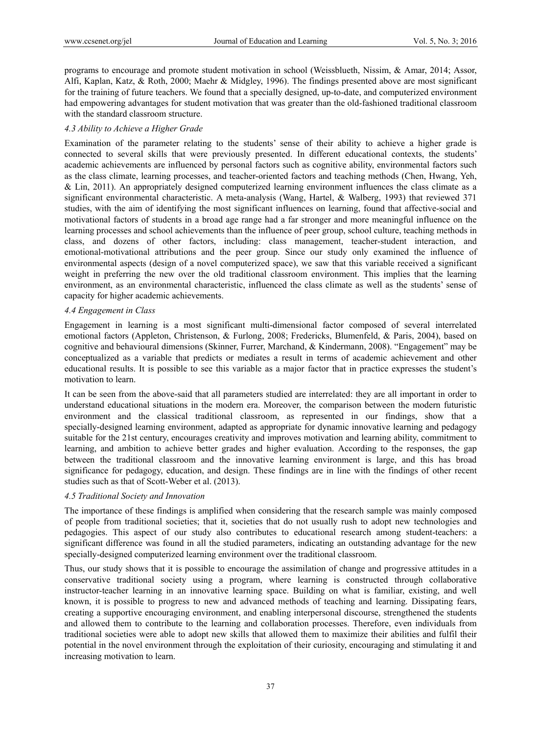programs to encourage and promote student motivation in school (Weissblueth, Nissim, & Amar, 2014; Assor, Alfi, Kaplan, Katz, & Roth, 2000; Maehr & Midgley, 1996). The findings presented above are most significant for the training of future teachers. We found that a specially designed, up-to-date, and computerized environment had empowering advantages for student motivation that was greater than the old-fashioned traditional classroom with the standard classroom structure.

## *4.3 Ability to Achieve a Higher Grade*

Examination of the parameter relating to the students' sense of their ability to achieve a higher grade is connected to several skills that were previously presented. In different educational contexts, the students' academic achievements are influenced by personal factors such as cognitive ability, environmental factors such as the class climate, learning processes, and teacher-oriented factors and teaching methods (Chen, Hwang, Yeh, & Lin, 2011). An appropriately designed computerized learning environment influences the class climate as a significant environmental characteristic. A meta-analysis (Wang, Hartel, & Walberg, 1993) that reviewed 371 studies, with the aim of identifying the most significant influences on learning, found that affective-social and motivational factors of students in a broad age range had a far stronger and more meaningful influence on the learning processes and school achievements than the influence of peer group, school culture, teaching methods in class, and dozens of other factors, including: class management, teacher-student interaction, and emotional-motivational attributions and the peer group. Since our study only examined the influence of environmental aspects (design of a novel computerized space), we saw that this variable received a significant weight in preferring the new over the old traditional classroom environment. This implies that the learning environment, as an environmental characteristic, influenced the class climate as well as the students' sense of capacity for higher academic achievements.

## *4.4 Engagement in Class*

Engagement in learning is a most significant multi-dimensional factor composed of several interrelated emotional factors (Appleton, Christenson, & Furlong, 2008; Fredericks, Blumenfeld, & Paris, 2004), based on cognitive and behavioural dimensions (Skinner, Furrer, Marchand, & Kindermann, 2008). "Engagement" may be conceptualized as a variable that predicts or mediates a result in terms of academic achievement and other educational results. It is possible to see this variable as a major factor that in practice expresses the student's motivation to learn.

It can be seen from the above-said that all parameters studied are interrelated: they are all important in order to understand educational situations in the modern era. Moreover, the comparison between the modern futuristic environment and the classical traditional classroom, as represented in our findings, show that a specially-designed learning environment, adapted as appropriate for dynamic innovative learning and pedagogy suitable for the 21st century, encourages creativity and improves motivation and learning ability, commitment to learning, and ambition to achieve better grades and higher evaluation. According to the responses, the gap between the traditional classroom and the innovative learning environment is large, and this has broad significance for pedagogy, education, and design. These findings are in line with the findings of other recent studies such as that of Scott-Weber et al. (2013).

## *4.5 Traditional Society and Innovation*

The importance of these findings is amplified when considering that the research sample was mainly composed of people from traditional societies; that it, societies that do not usually rush to adopt new technologies and pedagogies. This aspect of our study also contributes to educational research among student-teachers: a significant difference was found in all the studied parameters, indicating an outstanding advantage for the new specially-designed computerized learning environment over the traditional classroom.

Thus, our study shows that it is possible to encourage the assimilation of change and progressive attitudes in a conservative traditional society using a program, where learning is constructed through collaborative instructor-teacher learning in an innovative learning space. Building on what is familiar, existing, and well known, it is possible to progress to new and advanced methods of teaching and learning. Dissipating fears, creating a supportive encouraging environment, and enabling interpersonal discourse, strengthened the students and allowed them to contribute to the learning and collaboration processes. Therefore, even individuals from traditional societies were able to adopt new skills that allowed them to maximize their abilities and fulfil their potential in the novel environment through the exploitation of their curiosity, encouraging and stimulating it and increasing motivation to learn.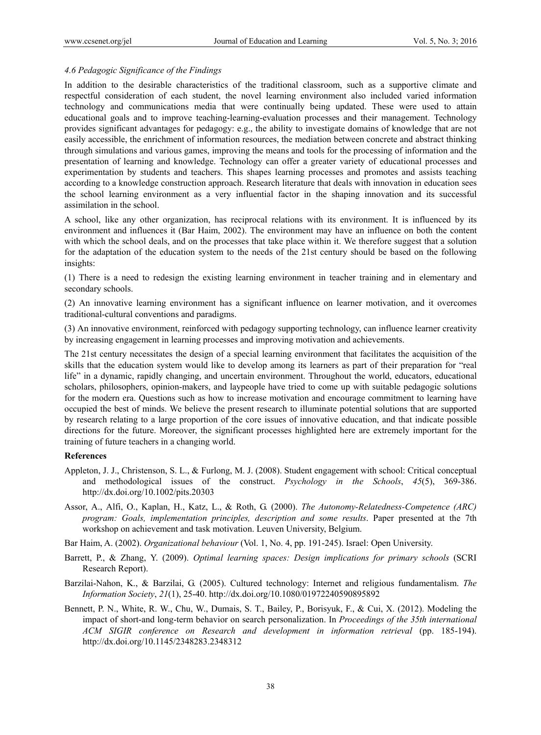#### *4.6 Pedagogic Significance of the Findings*

In addition to the desirable characteristics of the traditional classroom, such as a supportive climate and respectful consideration of each student, the novel learning environment also included varied information technology and communications media that were continually being updated. These were used to attain educational goals and to improve teaching-learning-evaluation processes and their management. Technology provides significant advantages for pedagogy: e.g., the ability to investigate domains of knowledge that are not easily accessible, the enrichment of information resources, the mediation between concrete and abstract thinking through simulations and various games, improving the means and tools for the processing of information and the presentation of learning and knowledge. Technology can offer a greater variety of educational processes and experimentation by students and teachers. This shapes learning processes and promotes and assists teaching according to a knowledge construction approach. Research literature that deals with innovation in education sees the school learning environment as a very influential factor in the shaping innovation and its successful assimilation in the school.

A school, like any other organization, has reciprocal relations with its environment. It is influenced by its environment and influences it (Bar Haim, 2002). The environment may have an influence on both the content with which the school deals, and on the processes that take place within it. We therefore suggest that a solution for the adaptation of the education system to the needs of the 21st century should be based on the following insights:

(1) There is a need to redesign the existing learning environment in teacher training and in elementary and secondary schools.

(2) An innovative learning environment has a significant influence on learner motivation, and it overcomes traditional-cultural conventions and paradigms.

(3) An innovative environment, reinforced with pedagogy supporting technology, can influence learner creativity by increasing engagement in learning processes and improving motivation and achievements.

The 21st century necessitates the design of a special learning environment that facilitates the acquisition of the skills that the education system would like to develop among its learners as part of their preparation for "real life" in a dynamic, rapidly changing, and uncertain environment. Throughout the world, educators, educational scholars, philosophers, opinion-makers, and laypeople have tried to come up with suitable pedagogic solutions for the modern era. Questions such as how to increase motivation and encourage commitment to learning have occupied the best of minds. We believe the present research to illuminate potential solutions that are supported by research relating to a large proportion of the core issues of innovative education, and that indicate possible directions for the future. Moreover, the significant processes highlighted here are extremely important for the training of future teachers in a changing world.

## **References**

- Appleton, J. J., Christenson, S. L., & Furlong, M. J. (2008). Student engagement with school: Critical conceptual and methodological issues of the construct. *Psychology in the Schools*, *45*(5), 369-386. http://dx.doi.org/10.1002/pits.20303
- Assor, A., Alfi, O., Kaplan, H., Katz, L., & Roth, G. (2000). *The Autonomy-Relatedness-Competence (ARC) program: Goals, implementation principles, description and some results*. Paper presented at the 7th workshop on achievement and task motivation. Leuven University, Belgium.
- Bar Haim, A. (2002). *Organizational behaviour* (Vol. 1, No. 4, pp. 191-245). Israel: Open University.
- Barrett, P., & Zhang, Y. (2009). *Optimal learning spaces: Design implications for primary schools* (SCRI Research Report).
- Barzilai-Nahon, K., & Barzilai, G. (2005). Cultured technology: Internet and religious fundamentalism. *The Information Society*, *21*(1), 25-40. http://dx.doi.org/10.1080/01972240590895892
- Bennett, P. N., White, R. W., Chu, W., Dumais, S. T., Bailey, P., Borisyuk, F., & Cui, X. (2012). Modeling the impact of short-and long-term behavior on search personalization. In *Proceedings of the 35th international ACM SIGIR conference on Research and development in information retrieval* (pp. 185-194). http://dx.doi.org/10.1145/2348283.2348312